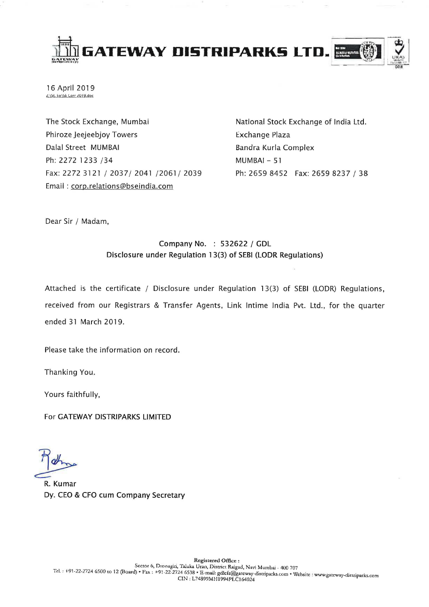

16 April 2019

The Stock Exchange, Mumbai Phiroze Jeejeebjoy Towers Dalal Street MUMBAI Ph: 2272 1233 /34 Fax: 2272 3121/2037/2041/2061/2039 Email: corp.relations@bseindia.com

National Stock Exchange of India Ltd. Exchange Plaza Bandra Kurla Complex MUMBAI - 51 Ph: 2659 8452 Fax: 2659 8237 / 38

Dear Sir / Madam,

## Company No. : 532622 / GDL Disclosure under Regulation 13(3) of SEBI (LODR Regulations)

Attached is the certificate / Disclosure under Regulation 13(3) of SEBI (LODR) Regulations, received from our Registrars & Transfer Agents, Link Intime India Pvt. Ltd., for the quarter ended 31 March 2019.

Please take the information on record.

Thanking You.

Yours faithfully,

For GATEWAY DISTRIPARKS LIMITED

R. Kumar Dy. CEO & CFO cum Company Secretary